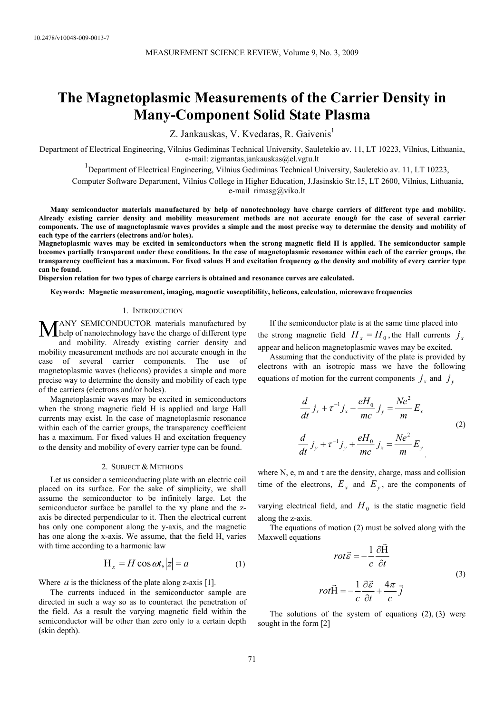# **The Magnetoplasmic Measurements of the Carrier Density in Many-Component Solid State Plasma**

Z. Jankauskas, V. Kvedaras, R. Gaivenis<sup>1</sup>

Department of Electrical Engineering, Vilnius Gediminas Technical University, Sauletekio av. 11, LT 10223, Vilnius, Lithuania, e-mail: zigmantas.jankauskas@el.vgtu.lt

<sup>1</sup>Department of Electrical Engineering, Vilnius Gediminas Technical University, Sauletekio av. 11, LT 10223,

Computer Software Department, Vilnius College in Higher Education, J.Jasinskio Str.15, LT 2600, Vilnius, Lithuania,

e-mail rimasg@viko.lt

**Many semiconductor materials manufactured by help of nanotechnology have charge carriers of different type and mobility. Already existing carrier density and mobility measurement methods are not accurate enoug***h* **for the case of several carrier components. The use of magnetoplasmic waves provides a simple and the most precise way to determine the density and mobility of each type of the carriers (electrons and/or holes).** 

**Magnetoplasmic waves may be excited in semiconductors when the strong magnetic field H is applied. The semiconductor sample becomes partially transparent under these conditions. In the case of magnetoplasmic resonance within each of the carrier groups, the transparency coefficient has a maximum. For fixed values H and excitation frequency** ω **the density and mobility of every carrier type can be found.** 

**Dispersion relation for two types of charge carriers is obtained and resonance curves are calculated.** 

**Keywords: Magnetic measurement, imaging, magnetic susceptibility, helicons, calculation, microwave frequencies** 

### 1. INTRODUCTION

ANY SEMICONDUCTOR materials manufactured by MANY SEMICONDUCTOR materials manufactured by<br>help of nanotechnology have the charge of different type and mobility. Already existing carrier density and mobility measurement methods are not accurate enough in the case of several carrier components. The use of magnetoplasmic waves (helicons) provides a simple and more precise way to determine the density and mobility of each type of the carriers (electrons and/or holes).

Magnetoplasmic waves may be excited in semiconductors when the strong magnetic field H is applied and large Hall currents may exist. In the case of magnetoplasmic resonance within each of the carrier groups, the transparency coefficient has a maximum. For fixed values H and excitation frequency ω the density and mobility of every carrier type can be found.

#### 2. SUBJECT & METHODS

Let us consider a semiconducting plate with an electric coil placed on its surface. For the sake of simplicity, we shall assume the semiconductor to be infinitely large. Let the semiconductor surface be parallel to the xy plane and the zaxis be directed perpendicular to it. Then the electrical current has only one component along the y-axis, and the magnetic has one along the x-axis. We assume, that the field  $H<sub>x</sub>$  varies with time according to a harmonic law

$$
H_x = H\cos\omega t, |z| = a \tag{1}
$$

Where  $a$  is the thickness of the plate along z-axis [1].

The currents induced in the semiconductor sample are directed in such a way so as to counteract the penetration of the field. As a result the varying magnetic field within the semiconductor will be other than zero only to a certain depth (skin depth).

If the semiconductor plate is at the same time placed into the strong magnetic field  $H_x = H_0$ , the Hall currents  $j_x$ appear and helicon magnetoplasmic waves may be excited.

Assuming that the conductivity of the plate is provided by electrons with an isotropic mass we have the following equations of motion for the current components  $j_x$  and  $j_y$ 

$$
\frac{d}{dt} j_x + \tau^{-1} j_x - \frac{eH_0}{mc} j_y = \frac{Ne^2}{m} E_x
$$
\n
$$
\frac{d}{dt} j_y + \tau^{-1} j_y + \frac{eH_0}{mc} j_x = \frac{Ne^2}{m} E_y
$$
\n(2)

where N, e, m and  $\tau$  are the density, charge, mass and collision time of the electrons,  $E_x$  and  $E_y$ , are the components of

varying electrical field, and  $H_0$  is the static magnetic field along the z-axis.

The equations of motion (2) must be solved along with the Maxwell equations

$$
rot\vec{\varepsilon} = -\frac{1}{c} \frac{\partial \vec{H}}{\partial t}
$$
  

$$
rot\vec{H} = -\frac{1}{c} \frac{\partial \vec{\varepsilon}}{\partial t} + \frac{4\pi}{c} \vec{j}
$$
 (3)

The solutions of the system of equations  $(2)$ ,  $(3)$  were sought in the form [2]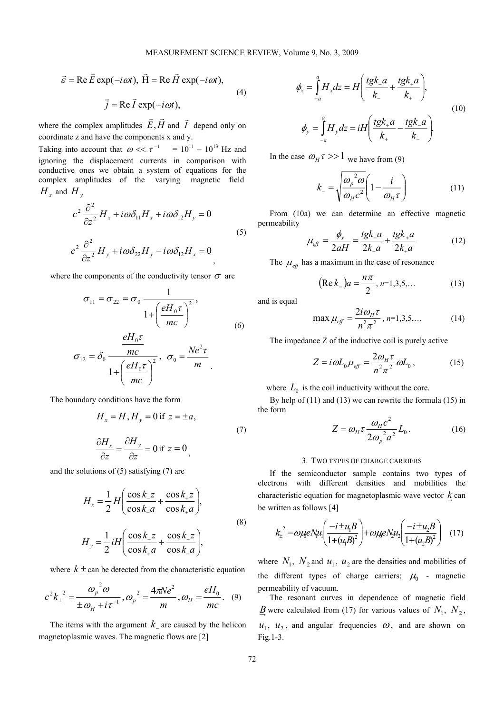$$
\vec{\varepsilon} = \text{Re}\,\vec{E}\,\text{exp}(-i\omega t), \ \vec{H} = \text{Re}\,\vec{H}\,\text{exp}(-i\omega t),
$$
  

$$
\vec{j} = \text{Re}\,\vec{I}\,\text{exp}(-i\omega t),
$$
 (4)

where the complex amplitudes  $\vec{E}$ ,  $\vec{H}$  and  $\vec{I}$  depend only on coordinate z and have the components x and y.

Taking into account that  $\omega \ll \tau^{-1} = 10^{11} - 10^{13}$  Hz and ignoring the displacement currents in comparison with conductive ones we obtain a system of equations for the complex amplitudes of the varying magnetic field  $H_x$  and  $H_y$ 

$$
c^{2} \frac{\partial^{2}}{\partial z^{2}} H_{x} + i \omega \delta_{11} H_{x} + i \omega \delta_{12} H_{y} = 0
$$
  

$$
c^{2} \frac{\partial^{2}}{\partial z^{2}} H_{y} + i \omega \delta_{22} H_{y} - i \omega \delta_{12} H_{x} = 0
$$
 (5)

where the components of the conductivity tensor  $\sigma$  are

$$
\sigma_{11} = \sigma_{22} = \sigma_0 \frac{1}{1 + \left(\frac{eH_0\tau}{mc}\right)^2},
$$
\n(6)

$$
\sigma_{12} = \delta_0 \frac{\frac{eH_0 \tau}{mc}}{1 + \left(\frac{eH_0 \tau}{mc}\right)^2}, \quad \sigma_0 = \frac{Ne^2 \tau}{m}
$$

The boundary conditions have the form

$$
H_x = H, H_y = 0 \text{ if } z = \pm a,
$$
  
\n
$$
\frac{\partial H_x}{\partial z} = \frac{\partial H_y}{\partial z} = 0 \text{ if } z = 0,
$$
\n(7)

and the solutions of (5) satisfying (7) are

$$
H_x = \frac{1}{2} H \left( \frac{\cos k_z z}{\cos k_z a} + \frac{\cos k_z z}{\cos k_z a} \right),
$$
  
\n
$$
H_y = \frac{1}{2} i H \left( \frac{\cos k_z z}{\cos k_z a} + \frac{\cos k_z z}{\cos k_z a} \right),
$$
  
\n(8)

where  $k \pm$  can be detected from the characteristic equation

$$
c^{2}k_{\pm}^{2} = \frac{\omega_{p}^{2} \omega}{\pm \omega_{H} + i\tau^{-1}}, \omega_{p}^{2} = \frac{4\pi Ne^{2}}{m}, \omega_{H} = \frac{eH_{0}}{mc}. \quad (9)
$$

The items with the argument  $k_{\perp}$  are caused by the helicon magnetoplasmic waves. The magnetic flows are [2]

$$
\phi_x = \int_{-a}^{a} H_x dz = H \left( \frac{tgk_a}{k_a} + \frac{tgk_a}{k_a} \right),
$$
\n
$$
\phi_y = \int_{-a}^{a} H_y dz = iH \left( \frac{tgk_a}{k_a} - \frac{tgk_a}{k_a} \right).
$$
\n(10)

In the case  $\omega_H \tau >> 1$  we have from (9)

$$
k_{-} = \sqrt{\frac{\omega_p^2 \omega}{\omega_H c^2} \left(1 - \frac{i}{\omega_H \tau}\right)}\tag{11}
$$

From (10a) we can determine an effective magnetic permeability

$$
\mu_{\text{eff}} = \frac{\phi_x}{2aH} = \frac{tgk_a}{2k_a} + \frac{tgk_a}{2k_a} \tag{12}
$$

The  $\mu_{\text{eff}}$  has a maximum in the case of resonance

$$
(\text{Re}\,k_{-})a = \frac{n\pi}{2}, n=1,3,5,... \tag{13}
$$

and is equal

$$
\max \mu_{\text{eff}} = \frac{2i\omega_{\text{H}}\tau}{n^2 \pi^2}, n=1,3,5,... \tag{14}
$$

The impedance Z of the inductive coil is purely active

$$
Z = i\omega L_0 \mu_{\text{eff}} = \frac{2\omega_H \tau}{n^2 \pi^2} \omega L_0, \qquad (15)
$$

where  $L_0$  is the coil inductivity without the core.

By help of (11) and (13) we can rewrite the formula (15) in the form

$$
Z = \omega_{H} \tau \frac{\omega_{H} c^2}{2\omega_{p}^2 a^2} L_0.
$$
 (16)

### 3. TWO TYPES OF CHARGE CARRIERS

If the semiconductor sample contains two types of electrons with different densities and mobilities the characteristic equation for magnetoplasmic wave vector *k* can be written as follows [4]

$$
k_{\pm}^{2} = \omega \mu e N u_{1} \left( \frac{-i \pm u_{1} B}{1 + (u_{1} B)^{2}} \right) + \omega \mu e N_{2} u_{2} \left( \frac{-i \pm u_{2} B}{1 + (u_{2} B)^{2}} \right) \quad (17)
$$

where  $N_1$ ,  $N_2$  and  $u_1$ ,  $u_2$  are the densities and mobilities of the different types of charge carriers;  $\mu_0$  - magnetic permeability of vacuum.

The resonant curves in dependence of magnetic field *B* were calculated from (17) for various values of  $N_1$ ,  $N_2$ ,  $u_1$ ,  $u_2$ , and angular frequencies  $\omega$ , and are shown on Fig.1-3.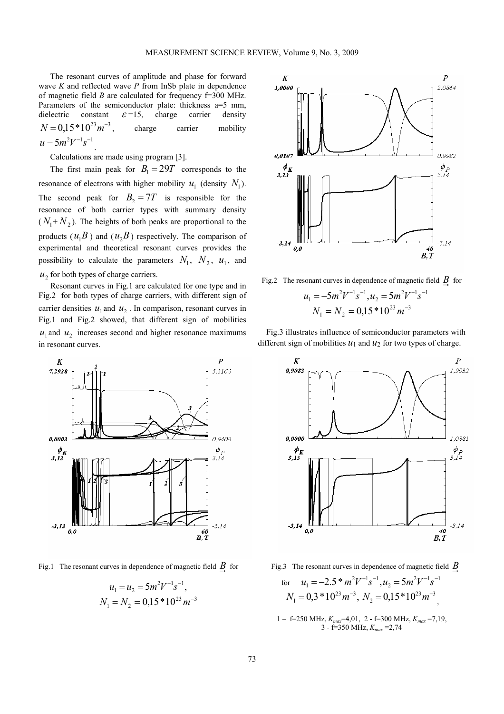The resonant curves of amplitude and phase for forward wave *K* and reflected wave *P* from InSb plate in dependence of magnetic field *B* are calculated for frequency f=300 MHz. Parameters of the semiconductor plate: thickness a=5 mm, dielectric constant  $\varepsilon = 15$ , charge carrier density  $N = 0.15 * 10^{23} m^{-3}$ , charge carrier mobility  $u = 5 m^2 V^{-1} s^{-1}$ 

Calculations are made using program [3].

The first main peak for  $B_1 = 29T$  corresponds to the resonance of electrons with higher mobility  $u_1$  (density  $N_1$ ). The second peak for  $B_2 = 7T$  is responsible for the resonance of both carrier types with summary density  $(N_1+N_2)$ . The heights of both peaks are proportional to the products  $(u_1B)$  and  $(u_2B)$  respectively. The comparison of experimental and theoretical resonant curves provides the possibility to calculate the parameters  $N_1$ ,  $N_2$ ,  $u_1$ , and  $u<sub>2</sub>$  for both types of charge carriers.

Resonant curves in Fig.1 are calculated for one type and in Fig.2 for both types of charge carriers, with different sign of carrier densities  $u_1$  and  $u_2$ . In comparison, resonant curves in Fig.1 and Fig.2 showed, that different sign of mobilities  $u_1$  and  $u_2$  increases second and higher resonance maximums in resonant curves.



Fig.1 The resonant curves in dependence of magnetic field *B* for

$$
u_1 = u_2 = 5m^2V^{-1}s^{-1},
$$
  

$$
N_1 = N_2 = 0,15*10^{23}m^{-3}
$$



Fig.2 The resonant curves in dependence of magnetic field *B* for

$$
u_1 = -5m^2V^{-1}s^{-1}, u_2 = 5m^2V^{-1}s^{-1}
$$
  

$$
N_1 = N_2 = 0,15*10^{23}m^{-3}
$$

Fig.3 illustrates influence of semiconductor parameters with different sign of mobilities  $u_1$  and  $u_2$  for two types of charge.



Fig.3 The resonant curves in dependence of magnetic field *B*

for 
$$
u_1 = -2.5 * m^2 V^{-1} s^{-1}
$$
,  $u_2 = 5 m^2 V^{-1} s^{-1}$   
\n $N_1 = 0.3 * 10^{23} m^{-3}$ ,  $N_2 = 0.15 * 10^{23} m^{-3}$ 

1 – f=250 MHz, *Kmax*=4,01, 2 - f=300 MHz, *Kmax* =7,19, 3 - f=350 MHz, *Kmax* =2,74